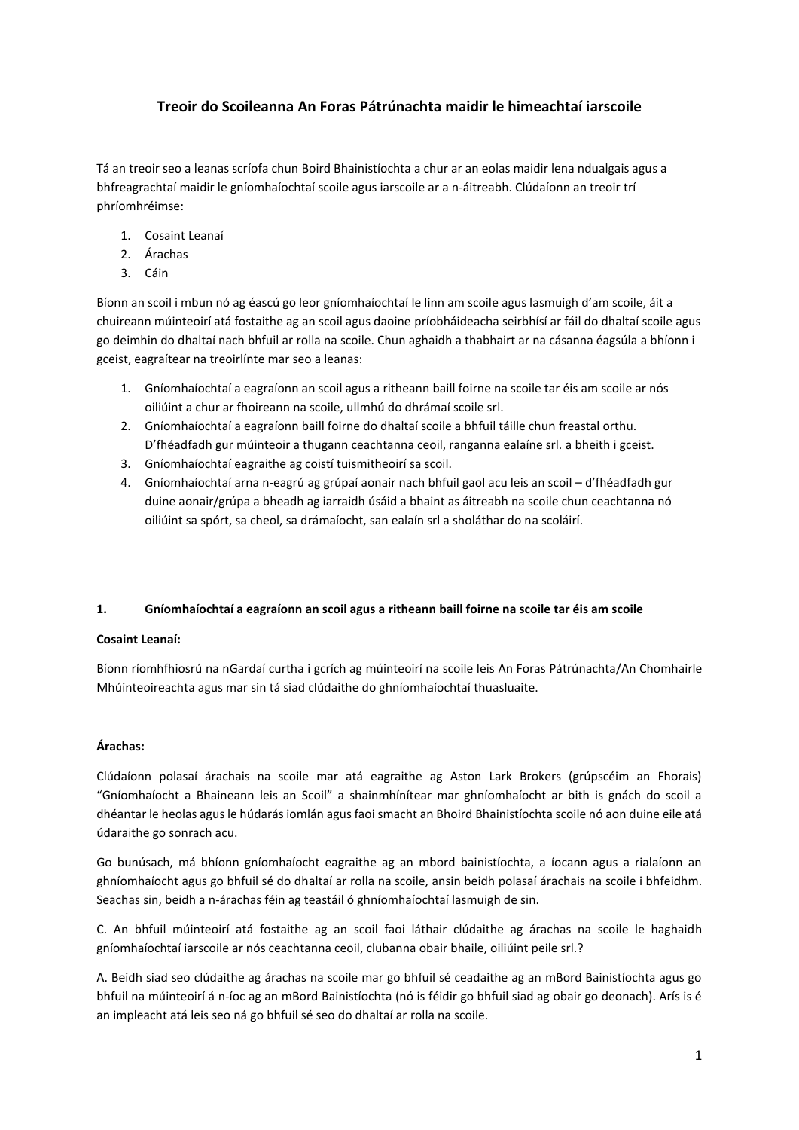# **Treoir do Scoileanna An Foras Pátrúnachta maidir le himeachtaí iarscoile**

Tá an treoir seo a leanas scríofa chun Boird Bhainistíochta a chur ar an eolas maidir lena ndualgais agus a bhfreagrachtaí maidir le gníomhaíochtaí scoile agus iarscoile ar a n-áitreabh. Clúdaíonn an treoir trí phríomhréimse:

- 1. Cosaint Leanaí
- 2. Árachas
- 3. Cáin

Bíonn an scoil i mbun nó ag éascú go leor gníomhaíochtaí le linn am scoile agus lasmuigh d'am scoile, áit a chuireann múinteoirí atá fostaithe ag an scoil agus daoine príobháideacha seirbhísí ar fáil do dhaltaí scoile agus go deimhin do dhaltaí nach bhfuil ar rolla na scoile. Chun aghaidh a thabhairt ar na cásanna éagsúla a bhíonn i gceist, eagraítear na treoirlínte mar seo a leanas:

- 1. Gníomhaíochtaí a eagraíonn an scoil agus a ritheann baill foirne na scoile tar éis am scoile ar nós oiliúint a chur ar fhoireann na scoile, ullmhú do dhrámaí scoile srl.
- 2. Gníomhaíochtaí a eagraíonn baill foirne do dhaltaí scoile a bhfuil táille chun freastal orthu. D'fhéadfadh gur múinteoir a thugann ceachtanna ceoil, ranganna ealaíne srl. a bheith i gceist.
- 3. Gníomhaíochtaí eagraithe ag coistí tuismitheoirí sa scoil.
- 4. Gníomhaíochtaí arna n-eagrú ag grúpaí aonair nach bhfuil gaol acu leis an scoil d'fhéadfadh gur duine aonair/grúpa a bheadh ag iarraidh úsáid a bhaint as áitreabh na scoile chun ceachtanna nó oiliúint sa spórt, sa cheol, sa drámaíocht, san ealaín srl a sholáthar do na scoláirí.

# **1. Gníomhaíochtaí a eagraíonn an scoil agus a ritheann baill foirne na scoile tar éis am scoile**

# **Cosaint Leanaí:**

Bíonn ríomhfhiosrú na nGardaí curtha i gcrích ag múinteoirí na scoile leis An Foras Pátrúnachta/An Chomhairle Mhúinteoireachta agus mar sin tá siad clúdaithe do ghníomhaíochtaí thuasluaite.

# **Árachas:**

Clúdaíonn polasaí árachais na scoile mar atá eagraithe ag Aston Lark Brokers (grúpscéim an Fhorais) "Gníomhaíocht a Bhaineann leis an Scoil" a shainmhínítear mar ghníomhaíocht ar bith is gnách do scoil a dhéantar le heolas agus le húdarás iomlán agus faoi smacht an Bhoird Bhainistíochta scoile nó aon duine eile atá údaraithe go sonrach acu.

Go bunúsach, má bhíonn gníomhaíocht eagraithe ag an mbord bainistíochta, a íocann agus a rialaíonn an ghníomhaíocht agus go bhfuil sé do dhaltaí ar rolla na scoile, ansin beidh polasaí árachais na scoile i bhfeidhm. Seachas sin, beidh a n-árachas féin ag teastáil ó ghníomhaíochtaí lasmuigh de sin.

C. An bhfuil múinteoirí atá fostaithe ag an scoil faoi láthair clúdaithe ag árachas na scoile le haghaidh gníomhaíochtaí iarscoile ar nós ceachtanna ceoil, clubanna obair bhaile, oiliúint peile srl.?

A. Beidh siad seo clúdaithe ag árachas na scoile mar go bhfuil sé ceadaithe ag an mBord Bainistíochta agus go bhfuil na múinteoirí á n-íoc ag an mBord Bainistíochta (nó is féidir go bhfuil siad ag obair go deonach). Arís is é an impleacht atá leis seo ná go bhfuil sé seo do dhaltaí ar rolla na scoile.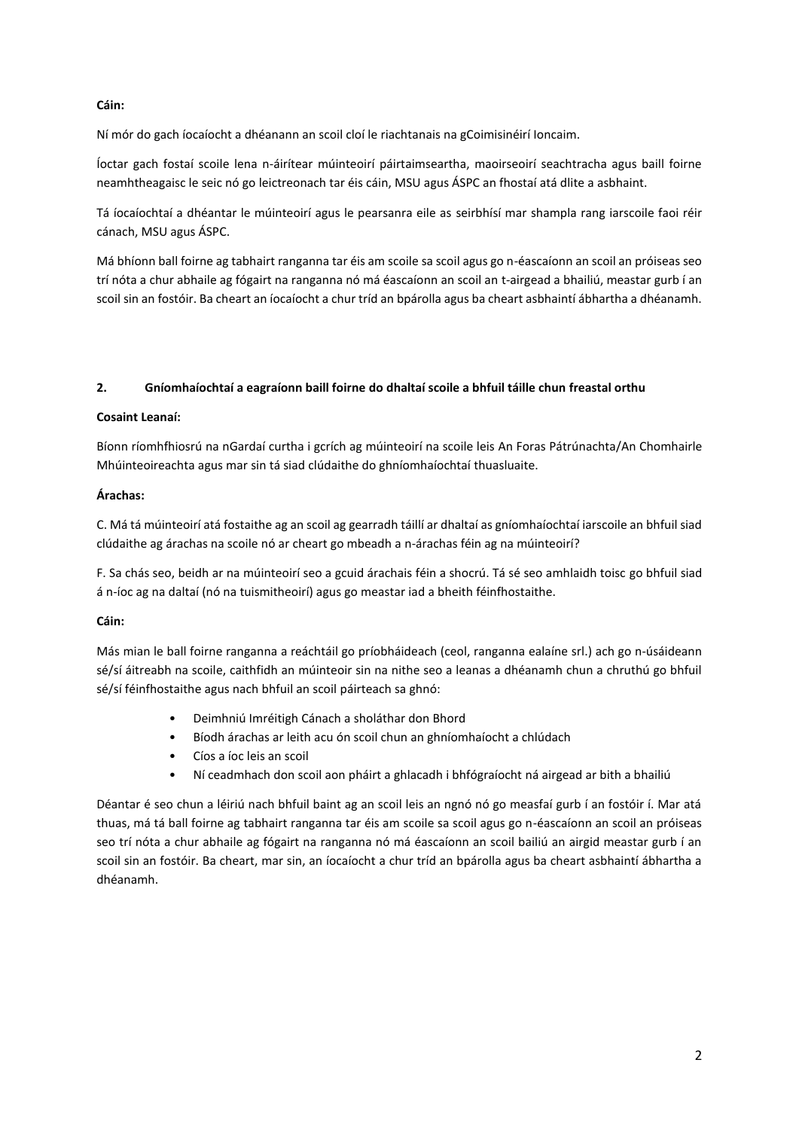## **Cáin:**

Ní mór do gach íocaíocht a dhéanann an scoil cloí le riachtanais na gCoimisinéirí Ioncaim.

Íoctar gach fostaí scoile lena n-áirítear múinteoirí páirtaimseartha, maoirseoirí seachtracha agus baill foirne neamhtheagaisc le seic nó go leictreonach tar éis cáin, MSU agus ÁSPC an fhostaí atá dlite a asbhaint.

Tá íocaíochtaí a dhéantar le múinteoirí agus le pearsanra eile as seirbhísí mar shampla rang iarscoile faoi réir cánach, MSU agus ÁSPC.

Má bhíonn ball foirne ag tabhairt ranganna tar éis am scoile sa scoil agus go n-éascaíonn an scoil an próiseas seo trí nóta a chur abhaile ag fógairt na ranganna nó má éascaíonn an scoil an t-airgead a bhailiú, meastar gurb í an scoil sin an fostóir. Ba cheart an íocaíocht a chur tríd an bpárolla agus ba cheart asbhaintí ábhartha a dhéanamh.

## **2. Gníomhaíochtaí a eagraíonn baill foirne do dhaltaí scoile a bhfuil táille chun freastal orthu**

#### **Cosaint Leanaí:**

Bíonn ríomhfhiosrú na nGardaí curtha i gcrích ag múinteoirí na scoile leis An Foras Pátrúnachta/An Chomhairle Mhúinteoireachta agus mar sin tá siad clúdaithe do ghníomhaíochtaí thuasluaite.

## **Árachas:**

C. Má tá múinteoirí atá fostaithe ag an scoil ag gearradh táillí ar dhaltaí as gníomhaíochtaí iarscoile an bhfuil siad clúdaithe ag árachas na scoile nó ar cheart go mbeadh a n-árachas féin ag na múinteoirí?

F. Sa chás seo, beidh ar na múinteoirí seo a gcuid árachais féin a shocrú. Tá sé seo amhlaidh toisc go bhfuil siad á n-íoc ag na daltaí (nó na tuismitheoirí) agus go meastar iad a bheith féinfhostaithe.

#### **Cáin:**

Más mian le ball foirne ranganna a reáchtáil go príobháideach (ceol, ranganna ealaíne srl.) ach go n-úsáideann sé/sí áitreabh na scoile, caithfidh an múinteoir sin na nithe seo a leanas a dhéanamh chun a chruthú go bhfuil sé/sí féinfhostaithe agus nach bhfuil an scoil páirteach sa ghnó:

- Deimhniú Imréitigh Cánach a sholáthar don Bhord
- Bíodh árachas ar leith acu ón scoil chun an ghníomhaíocht a chlúdach
- Cíos a íoc leis an scoil
- Ní ceadmhach don scoil aon pháirt a ghlacadh i bhfógraíocht ná airgead ar bith a bhailiú

Déantar é seo chun a léiriú nach bhfuil baint ag an scoil leis an ngnó nó go measfaí gurb í an fostóir í. Mar atá thuas, má tá ball foirne ag tabhairt ranganna tar éis am scoile sa scoil agus go n-éascaíonn an scoil an próiseas seo trí nóta a chur abhaile ag fógairt na ranganna nó má éascaíonn an scoil bailiú an airgid meastar gurb í an scoil sin an fostóir. Ba cheart, mar sin, an íocaíocht a chur tríd an bpárolla agus ba cheart asbhaintí ábhartha a dhéanamh.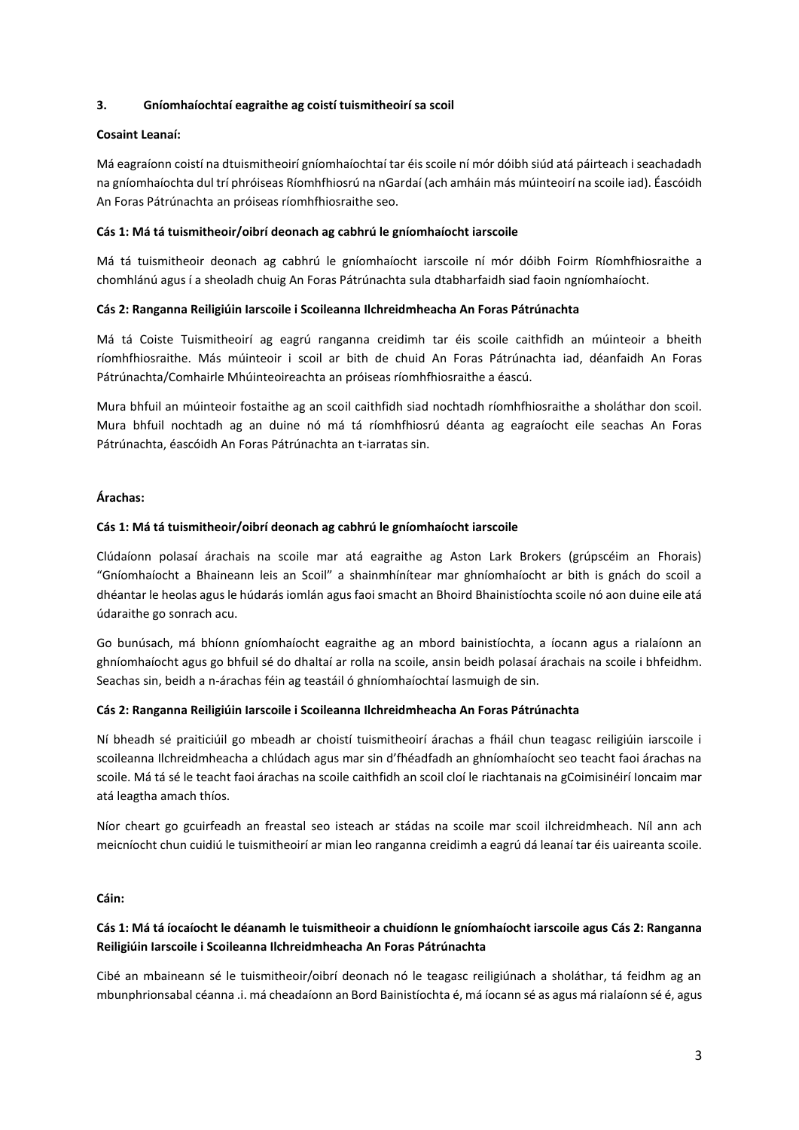## **3. Gníomhaíochtaí eagraithe ag coistí tuismitheoirí sa scoil**

#### **Cosaint Leanaí:**

Má eagraíonn coistí na dtuismitheoirí gníomhaíochtaí tar éis scoile ní mór dóibh siúd atá páirteach i seachadadh na gníomhaíochta dul trí phróiseas Ríomhfhiosrú na nGardaí (ach amháin más múinteoirí na scoile iad). Éascóidh An Foras Pátrúnachta an próiseas ríomhfhiosraithe seo.

## **Cás 1: Má tá tuismitheoir/oibrí deonach ag cabhrú le gníomhaíocht iarscoile**

Má tá tuismitheoir deonach ag cabhrú le gníomhaíocht iarscoile ní mór dóibh Foirm Ríomhfhiosraithe a chomhlánú agus í a sheoladh chuig An Foras Pátrúnachta sula dtabharfaidh siad faoin ngníomhaíocht.

## **Cás 2: Ranganna Reiligiúin Iarscoile i Scoileanna Ilchreidmheacha An Foras Pátrúnachta**

Má tá Coiste Tuismitheoirí ag eagrú ranganna creidimh tar éis scoile caithfidh an múinteoir a bheith ríomhfhiosraithe. Más múinteoir i scoil ar bith de chuid An Foras Pátrúnachta iad, déanfaidh An Foras Pátrúnachta/Comhairle Mhúinteoireachta an próiseas ríomhfhiosraithe a éascú.

Mura bhfuil an múinteoir fostaithe ag an scoil caithfidh siad nochtadh ríomhfhiosraithe a sholáthar don scoil. Mura bhfuil nochtadh ag an duine nó má tá ríomhfhiosrú déanta ag eagraíocht eile seachas An Foras Pátrúnachta, éascóidh An Foras Pátrúnachta an t-iarratas sin.

## **Árachas:**

## **Cás 1: Má tá tuismitheoir/oibrí deonach ag cabhrú le gníomhaíocht iarscoile**

Clúdaíonn polasaí árachais na scoile mar atá eagraithe ag Aston Lark Brokers (grúpscéim an Fhorais) "Gníomhaíocht a Bhaineann leis an Scoil" a shainmhínítear mar ghníomhaíocht ar bith is gnách do scoil a dhéantar le heolas agus le húdarás iomlán agus faoi smacht an Bhoird Bhainistíochta scoile nó aon duine eile atá údaraithe go sonrach acu.

Go bunúsach, má bhíonn gníomhaíocht eagraithe ag an mbord bainistíochta, a íocann agus a rialaíonn an ghníomhaíocht agus go bhfuil sé do dhaltaí ar rolla na scoile, ansin beidh polasaí árachais na scoile i bhfeidhm. Seachas sin, beidh a n-árachas féin ag teastáil ó ghníomhaíochtaí lasmuigh de sin.

#### **Cás 2: Ranganna Reiligiúin Iarscoile i Scoileanna Ilchreidmheacha An Foras Pátrúnachta**

Ní bheadh sé praiticiúil go mbeadh ar choistí tuismitheoirí árachas a fháil chun teagasc reiligiúin iarscoile i scoileanna Ilchreidmheacha a chlúdach agus mar sin d'fhéadfadh an ghníomhaíocht seo teacht faoi árachas na scoile. Má tá sé le teacht faoi árachas na scoile caithfidh an scoil cloí le riachtanais na gCoimisinéirí Ioncaim mar atá leagtha amach thíos.

Níor cheart go gcuirfeadh an freastal seo isteach ar stádas na scoile mar scoil ilchreidmheach. Níl ann ach meicníocht chun cuidiú le tuismitheoirí ar mian leo ranganna creidimh a eagrú dá leanaí tar éis uaireanta scoile.

**Cáin:**

# **Cás 1: Má tá íocaíocht le déanamh le tuismitheoir a chuidíonn le gníomhaíocht iarscoile agus Cás 2: Ranganna Reiligiúin Iarscoile i Scoileanna Ilchreidmheacha An Foras Pátrúnachta**

Cibé an mbaineann sé le tuismitheoir/oibrí deonach nó le teagasc reiligiúnach a sholáthar, tá feidhm ag an mbunphrionsabal céanna .i. má cheadaíonn an Bord Bainistíochta é, má íocann sé as agus má rialaíonn sé é, agus